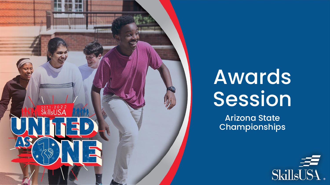

# Awards Session

Arizona State Championships

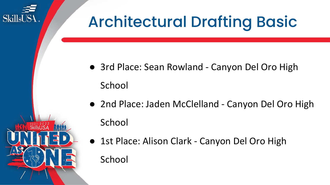

- 2nd Place: Jaden McClelland Canyon Del Oro High
	- 1st Place: Alison Clark Canyon Del Oro High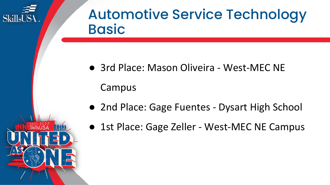

#### Automotive Service Technology **Basic**

● 3rd Place: Mason Oliveira - West-MEC NE

Campus

- 2nd Place: Gage Fuentes Dysart High School
- 1st Place: Gage Zeller West-MEC NE Campus

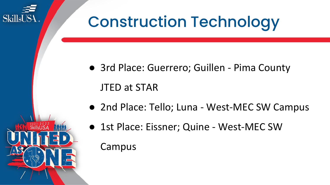

## Construction Technology

- 3rd Place: Guerrero; Guillen Pima County
- 2nd Place: Tello; Luna West-MEC SW Campus
- 1st Place: Eissner; Quine West-MEC SW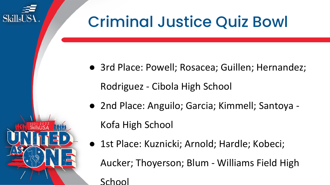

## Criminal Justice Quiz Bowl

- 3rd Place: Powell; Rosacea; Guillen; Hernandez; Rodriguez - Cibola High School
- 2nd Place: Anguilo; Garcia; Kimmell; Santoya -

Kofa High School

● 1st Place: Kuznicki; Arnold; Hardle; Kobeci;

Aucker; Thoyerson; Blum - Williams Field High

School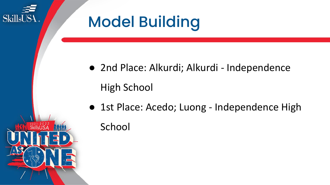

- 2nd Place: Alkurdi; Alkurdi Independence
- 1st Place: Acedo; Luong Independence High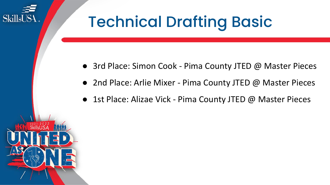## Technical Drafting Basic

- 3rd Place: Simon Cook Pima County JTED @ Master Pieces
- 2nd Place: Arlie Mixer Pima County JTED @ Master Pieces
- 1st Place: Alizae Vick Pima County JTED @ Master Pieces



SkillsUS4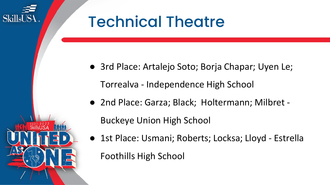## Technical Theatre

SkillsUS4

● 3rd Place: Artalejo Soto; Borja Chapar; Uyen Le;

Torrealva - Independence High School

● 2nd Place: Garza; Black; Holtermann; Milbret -

Buckeye Union High School

● 1st Place: Usmani; Roberts; Locksa; Lloyd - Estrella Foothills High School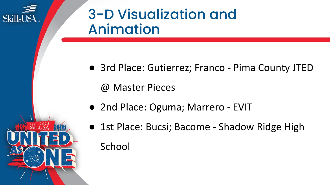

### 3-D Visualization and Animation

● 3rd Place: Gutierrez; Franco - Pima County JTED

@ Master Pieces

- 2nd Place: Oguma; Marrero EVIT
- 1st Place: Bucsi; Bacome Shadow Ridge High **School**

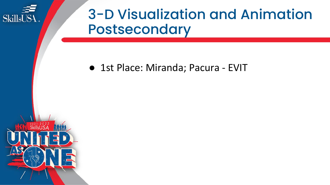

#### 3-D Visualization and Animation Postsecondary

#### ● 1st Place: Miranda; Pacura - EVIT

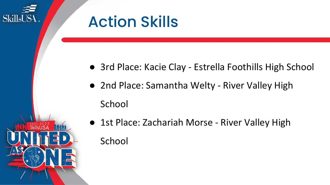

- 3rd Place: Kacie Clay Estrella Foothills High School
- 2nd Place: Samantha Welty River Valley High
- 1st Place: Zachariah Morse River Valley High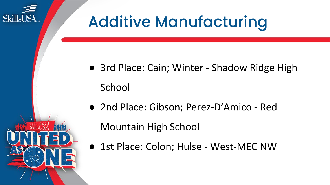

- 3rd Place: Cain; Winter Shadow Ridge High
- 2nd Place: Gibson; Perez-D'Amico Red

● 1st Place: Colon; Hulse - West-MEC NW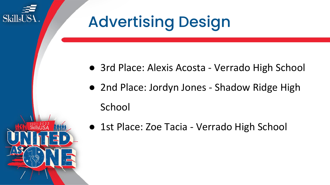

- 3rd Place: Alexis Acosta Verrado High School
- 2nd Place: Jordyn Jones Shadow Ridge High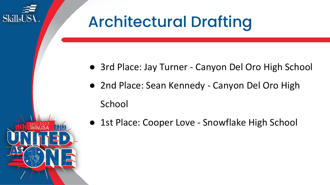

- 3rd Place: Jay Turner Canyon Del Oro High School
- 2nd Place: Sean Kennedy Canyon Del Oro High
- 1st Place: Cooper Love Snowflake High School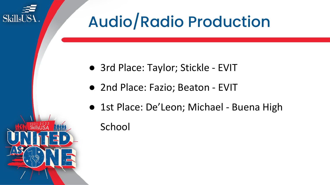

- 3rd Place: Taylor; Stickle EVIT
- 2nd Place: Fazio; Beaton EVIT
- 1st Place: De'Leon; Michael Buena High

#### School

**SkillsUSA** 

 $2021 - 2022$ <br>SkillsUSA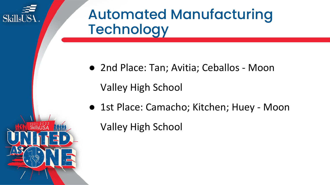

### Automated Manufacturing **Technology**

● 2nd Place: Tan; Avitia; Ceballos - Moon

Valley High School

● 1st Place: Camacho; Kitchen; Huey - Moon

Valley High School

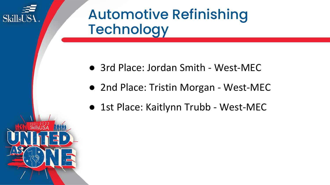

### Automotive Refinishing **Technology**

- 3rd Place: Jordan Smith West-MEC
- 2nd Place: Tristin Morgan West-MEC
- 1st Place: Kaitlynn Trubb West-MEC

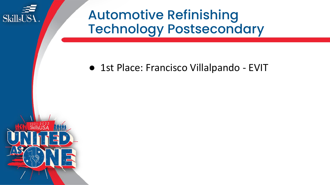

Automotive Refinishing Technology Postsecondary

#### ● 1st Place: Francisco Villalpando - EVIT

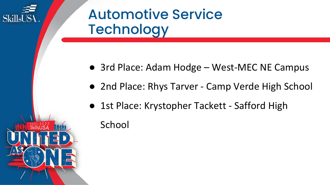

 $\frac{2021 \cdot 2022}{\text{SkillsUSA}}$ 

#### Automotive Service **Technology**

- 3rd Place: Adam Hodge West-MEC NE Campus
- 2nd Place: Rhys Tarver Camp Verde High School
- 1st Place: Krystopher Tackett Safford High

School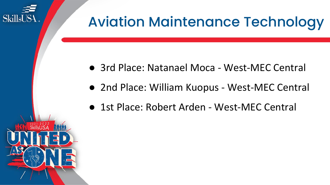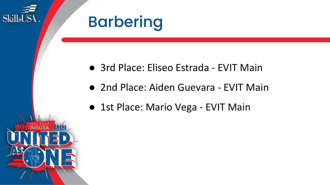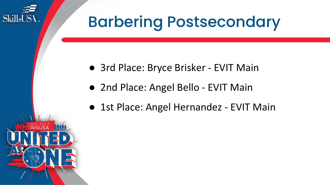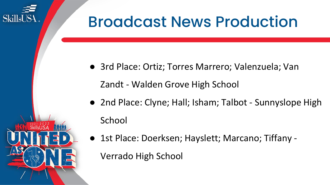

● 3rd Place: Ortiz; Torres Marrero; Valenzuela; Van

Zandt - Walden Grove High School

- 2nd Place: Clyne; Hall; Isham; Talbot Sunnyslope High School
- 1st Place: Doerksen; Hayslett; Marcano; Tiffany -

Verrado High School

SkillsUS<sup>1</sup>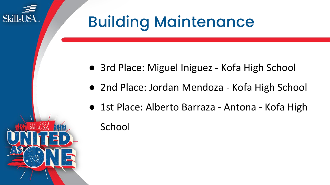

- 3rd Place: Miguel Iniguez Kofa High School
- 2nd Place: Jordan Mendoza Kofa High School
- 1st Place: Alberto Barraza Antona Kofa High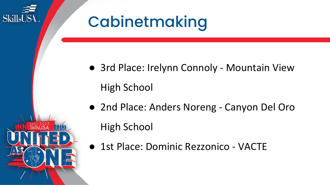

- 3rd Place: Irelynn Connoly Mountain View High School
- 2nd Place: Anders Noreng Canyon Del Oro High School
- 1st Place: Dominic Rezzonico VACTE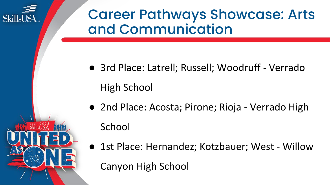

#### Career Pathways Showcase: Arts and Communication

- 3rd Place: Latrell; Russell; Woodruff Verrado High School
- 2nd Place: Acosta; Pirone; Rioja Verrado High School
- 1st Place: Hernandez; Kotzbauer; West Willow Canyon High School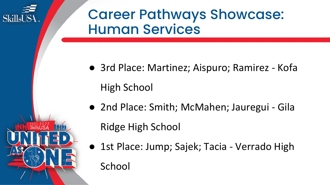

#### Career Pathways Showcase: Human Services

- 3rd Place: Martinez; Aispuro; Ramirez Kofa High School
- 2nd Place: Smith; McMahen; Jauregui Gila Ridge High School
- 1st Place: Jump; Sajek; Tacia Verrado High
	- School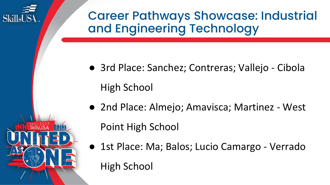

Career Pathways Showcase: Industrial and Engineering Technology

- 3rd Place: Sanchez; Contreras; Vallejo Cibola High School
- 2nd Place: Almejo; Amavisca; Martinez West

Point High School

● 1st Place: Ma; Balos; Lucio Camargo - Verrado High School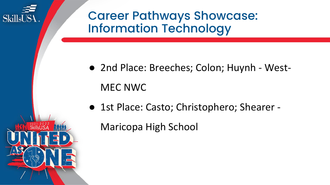

Career Pathways Showcase: Information Technology

- 2nd Place: Breeches; Colon; Huynh West-MEC NWC
- 1st Place: Casto; Christophero; Shearer -

Maricopa High School

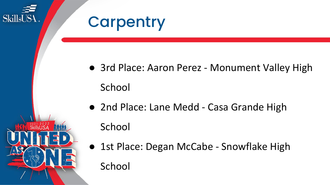

 $\overset{2021}{\text{SkillsUSA}}$ 

### **Carpentry**

- 3rd Place: Aaron Perez Monument Valley High School
- 2nd Place: Lane Medd Casa Grande High School
- 1st Place: Degan McCabe Snowflake High School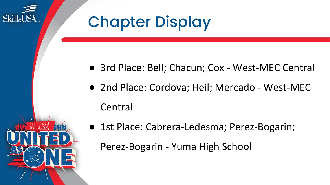

## Chapter Display

- 3rd Place: Bell; Chacun; Cox West-MEC Central
- 2nd Place: Cordova; Heil; Mercado West-MEC
- 1st Place: Cabrera-Ledesma; Perez-Bogarin;

Perez-Bogarin - Yuma High School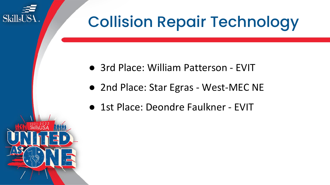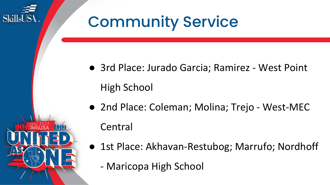

- 3rd Place: Jurado Garcia; Ramirez West Point High School
- 2nd Place: Coleman; Molina; Trejo West-MEC **Central**
- 1st Place: Akhavan-Restubog; Marrufo; Nordhoff
	- Maricopa High School

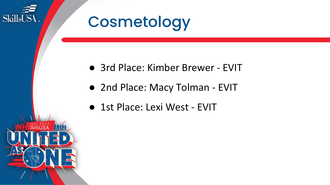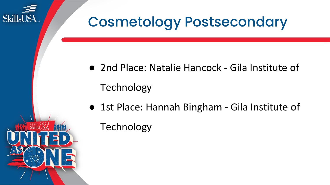

### Cosmetology Postsecondary

- 2nd Place: Natalie Hancock Gila Institute of
- 1st Place: Hannah Bingham Gila Institute of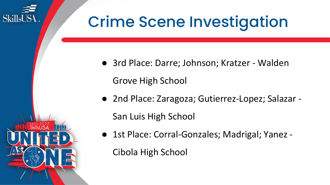## Crime Scene Investigation

- 3rd Place: Darre; Johnson; Kratzer Walden Grove High School
- 2nd Place: Zaragoza; Gutierrez-Lopez; Salazar -

San Luis High School

SkillsUS4

● 1st Place: Corral-Gonzales; Madrigal; Yanez -

Cibola High School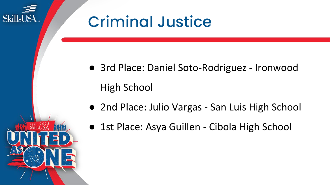

## Criminal Justice

- 3rd Place: Daniel Soto-Rodriguez Ironwood High School
- 2nd Place: Julio Vargas San Luis High School
- 1st Place: Asya Guillen Cibola High School

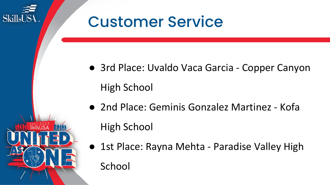

- 3rd Place: Uvaldo Vaca Garcia Copper Canyon
- 2nd Place: Geminis Gonzalez Martinez Kofa
- 1st Place: Rayna Mehta Paradise Valley High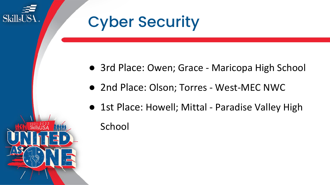

## Cyber Security

- 3rd Place: Owen; Grace Maricopa High School
- 2nd Place: Olson; Torres West-MEC NWC
- 1st Place: Howell; Mittal Paradise Valley High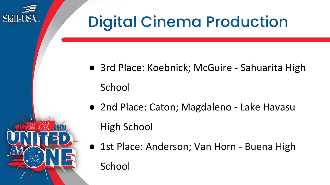## **SkillsUSA**

## Digital Cinema Production

- 3rd Place: Koebnick; McGuire Sahuarita High School
- 2nd Place: Caton; Magdaleno Lake Havasu High School
- 1st Place: Anderson; Van Horn Buena High School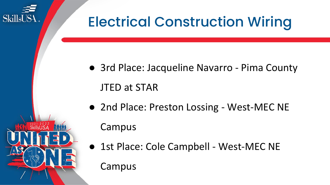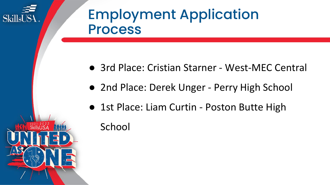

 $2021 - 2022$ <br>SkillsUSA

#### Employment Application Process

- 3rd Place: Cristian Starner West-MEC Central
- 2nd Place: Derek Unger Perry High School
- 1st Place: Liam Curtin Poston Butte High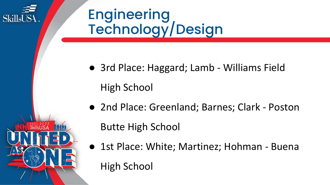

## **Engineering** Technology/Design

- 3rd Place: Haggard; Lamb Williams Field High School
- 2nd Place: Greenland; Barnes; Clark Poston Butte High School
- 1st Place: White; Martinez; Hohman Buena High School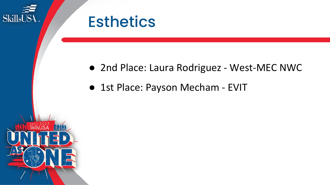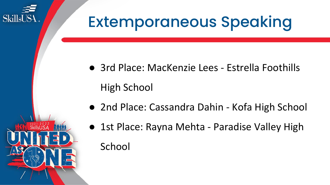

 $\frac{^{202}}{SkillsUSA}$ 

## Extemporaneous Speaking

- 3rd Place: MacKenzie Lees Estrella Foothills High School
- 2nd Place: Cassandra Dahin Kofa High School
- 1st Place: Rayna Mehta Paradise Valley High School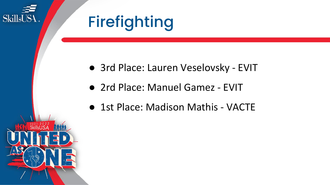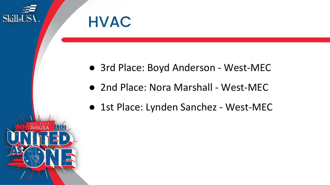



- 3rd Place: Boyd Anderson West-MEC
- 2nd Place: Nora Marshall West-MEC
- 1st Place: Lynden Sanchez West-MEC

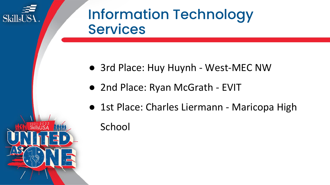

 $3021 - 2022$ <br>SkillsUSA

#### Information Technology **Services**

- 3rd Place: Huy Huynh West-MEC NW
- 2nd Place: Ryan McGrath EVIT
- 1st Place: Charles Liermann Maricopa High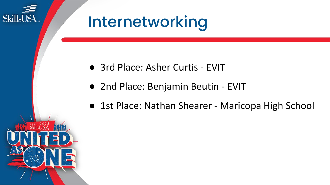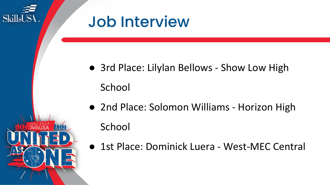

- 3rd Place: Lilylan Bellows Show Low High
- 2nd Place: Solomon Williams Horizon High
- 1st Place: Dominick Luera West-MEC Central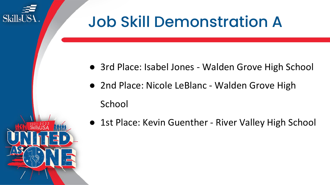

## Job Skill Demonstration A

- 3rd Place: Isabel Jones Walden Grove High School
- 2nd Place: Nicole LeBlanc Walden Grove High
- 1st Place: Kevin Guenther River Valley High School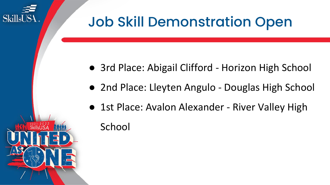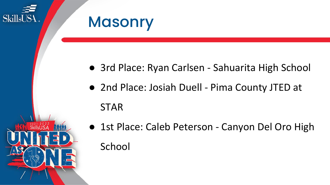

- 3rd Place: Ryan Carlsen Sahuarita High School
- 2nd Place: Josiah Duell Pima County JTED at
- 1st Place: Caleb Peterson Canyon Del Oro High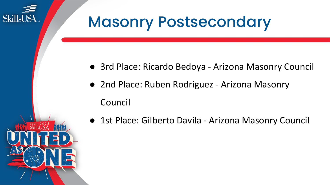

- 3rd Place: Ricardo Bedoya Arizona Masonry Council
- 2nd Place: Ruben Rodriguez Arizona Masonry
- 1st Place: Gilberto Davila Arizona Masonry Council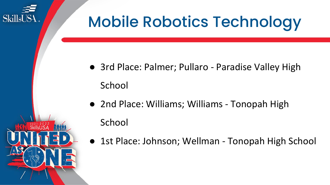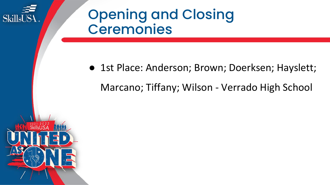

#### Opening and Closing Ceremonies

● 1st Place: Anderson; Brown; Doerksen; Hayslett; Marcano; Tiffany; Wilson - Verrado High School

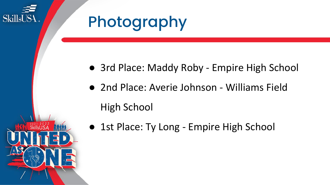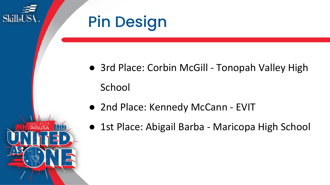

- 3rd Place: Corbin McGill Tonopah Valley High
	- 2nd Place: Kennedy McCann EVIT
	- 1st Place: Abigail Barba Maricopa High School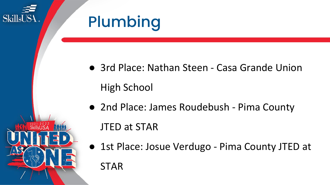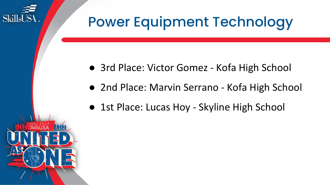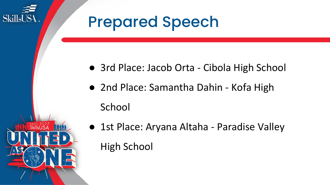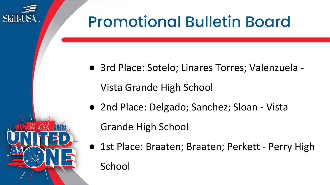

● 3rd Place: Sotelo; Linares Torres; Valenzuela -

Vista Grande High School

● 2nd Place: Delgado; Sanchez; Sloan - Vista

Grande High School

SkillsUS<sup>1</sup>

● 1st Place: Braaten; Braaten; Perkett - Perry High School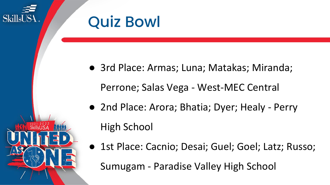

● 3rd Place: Armas; Luna; Matakas; Miranda;

Perrone; Salas Vega - West-MEC Central

- 2nd Place: Arora; Bhatia; Dyer; Healy Perry
- 1st Place: Cacnio; Desai; Guel; Goel; Latz; Russo;

Sumugam - Paradise Valley High School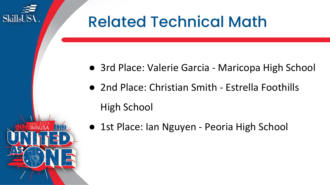# Related Technical Math

- 3rd Place: Valerie Garcia Maricopa High School
- 2nd Place: Christian Smith Estrella Foothills High School
- 1st Place: Ian Nguyen Peoria High School



SkillsUS4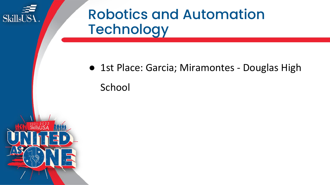

### Robotics and Automation **Technology**

● 1st Place: Garcia; Miramontes - Douglas High

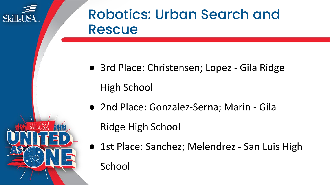

#### Robotics: Urban Search and Rescue

- 3rd Place: Christensen; Lopez Gila Ridge High School
- 2nd Place: Gonzalez-Serna; Marin Gila

Ridge High School

● 1st Place: Sanchez; Melendrez - San Luis High School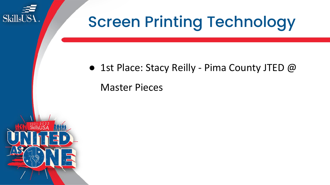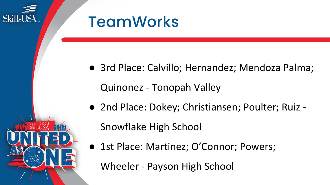

● 3rd Place: Calvillo; Hernandez; Mendoza Palma;

● 2nd Place: Dokey; Christiansen; Poulter; Ruiz -

● 1st Place: Martinez; O'Connor; Powers;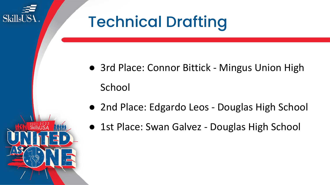

- 2nd Place: Edgardo Leos Douglas High School
- 
- 1st Place: Swan Galvez Douglas High School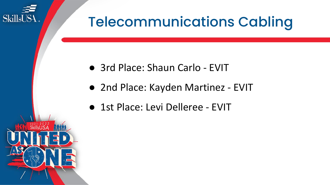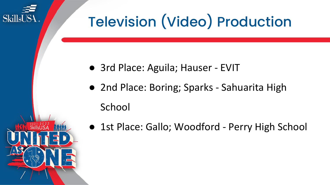

- 3rd Place: Aguila; Hauser EVIT
- 2nd Place: Boring; Sparks Sahuarita High

#### School

**SkillsUSA** 

● 1st Place: Gallo; Woodford - Perry High School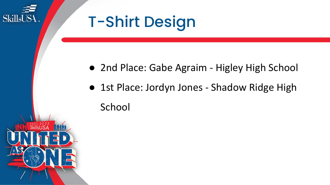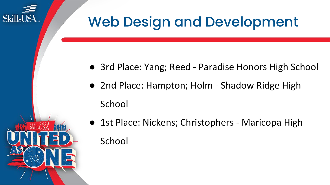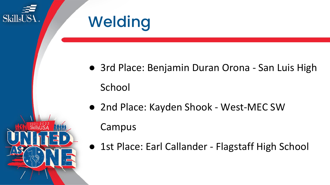

- 3rd Place: Benjamin Duran Orona San Luis High
- 2nd Place: Kayden Shook West-MEC SW

● 1st Place: Earl Callander - Flagstaff High School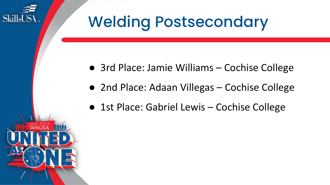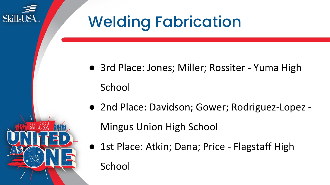

- 3rd Place: Jones; Miller; Rossiter Yuma High
- 2nd Place: Davidson; Gower; Rodriguez-Lopez -

● 1st Place: Atkin; Dana; Price - Flagstaff High